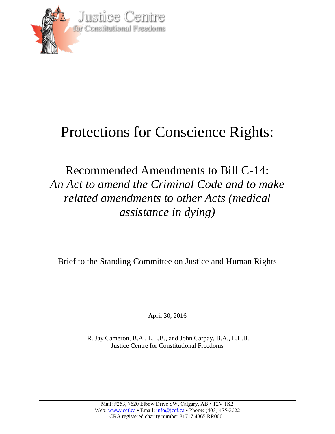

## Protections for Conscience Rights:

## Recommended Amendments to Bill C-14: *An Act to amend the Criminal Code and to make related amendments to other Acts (medical assistance in dying)*

Brief to the Standing Committee on Justice and Human Rights

April 30, 2016

R. Jay Cameron, B.A., L.L.B., and John Carpay, B.A., L.L.B. Justice Centre for Constitutional Freedoms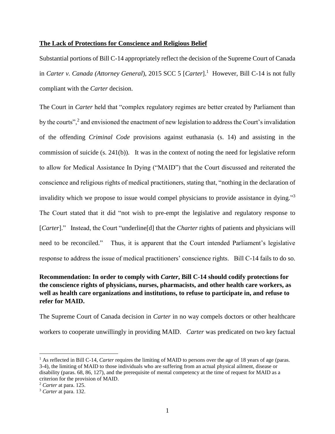## **The Lack of Protections for Conscience and Religious Belief**

Substantial portions of Bill C-14 appropriately reflect the decision of the Supreme Court of Canada in *Carter v. Canada (Attorney General)*, 2015 SCC 5 [*Carter*].<sup>1</sup> However, Bill C-14 is not fully compliant with the *Carter* decision.

The Court in *Carter* held that "complex regulatory regimes are better created by Parliament than by the courts",<sup>2</sup> and envisioned the enactment of new legislation to address the Court's invalidation of the offending *Criminal Code* provisions against euthanasia (s. 14) and assisting in the commission of suicide (s. 241(b)). It was in the context of noting the need for legislative reform to allow for Medical Assistance In Dying ("MAID") that the Court discussed and reiterated the conscience and religious rights of medical practitioners, stating that, "nothing in the declaration of invalidity which we propose to issue would compel physicians to provide assistance in dying."<sup>3</sup> The Court stated that it did "not wish to pre-empt the legislative and regulatory response to [*Carter*]." Instead, the Court "underline[d] that the *Charter* rights of patients and physicians will need to be reconciled." Thus, it is apparent that the Court intended Parliament's legislative response to address the issue of medical practitioners' conscience rights. Bill C-14 fails to do so.

## **Recommendation: In order to comply with** *Carter***, Bill C-14 should codify protections for the conscience rights of physicians, nurses, pharmacists, and other health care workers, as well as health care organizations and institutions, to refuse to participate in, and refuse to refer for MAID.**

The Supreme Court of Canada decision in *Carter* in no way compels doctors or other healthcare workers to cooperate unwillingly in providing MAID. *Carter* was predicated on two key factual

l

<sup>&</sup>lt;sup>1</sup> As reflected in Bill C-14, *Carter* requires the limiting of MAID to persons over the age of 18 years of age (paras. 3-4), the limiting of MAID to those individuals who are suffering from an actual physical ailment, disease or disability (paras. 68, 86, 127), and the prerequisite of mental competency at the time of request for MAID as a criterion for the provision of MAID.

<sup>2</sup> *Carter* at para. 125.

<sup>3</sup> *Carter* at para. 132.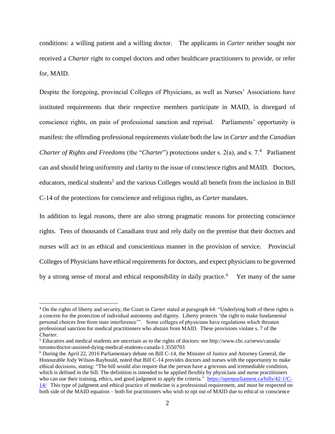conditions: a willing patient and a willing doctor. The applicants in *Carter* neither sought nor received a *Charter* right to compel doctors and other healthcare practitioners to provide, or refer for, MAID.

Despite the foregoing, provincial Colleges of Physicians, as well as Nurses' Associations have instituted requirements that their respective members participate in MAID, in disregard of conscience rights, on pain of professional sanction and reprisal. Parliaments' opportunity is manifest: the offending professional requirements violate both the law in *Carter* and the *Canadian Charter of Rights and Freedoms* (the "*Charter*") protections under s. 2(a), and s. 7.<sup>4</sup> Parliament can and should bring uniformity and clarity to the issue of conscience rights and MAID. Doctors, educators, medical students<sup>5</sup> and the various Colleges would all benefit from the inclusion in Bill C-14 of the protections for conscience and religious rights, as *Carter* mandates.

In addition to legal reasons, there are also strong pragmatic reasons for protecting conscience rights. Tens of thousands of Canadians trust and rely daily on the premise that their doctors and nurses will act in an ethical and conscientious manner in the provision of service. Provincial Colleges of Physicians have ethical requirements for doctors, and expect physicians to be governed by a strong sense of moral and ethical responsibility in daily practice.<sup>6</sup> Yet many of the same

 $\overline{a}$ 

<sup>4</sup> On the rights of liberty and security, the Court in *Carter* stated at paragraph 64: "Underlying both of these rights is a concern for the protection of individual autonomy and dignity. Liberty protects 'the right to make fundamental personal choices free from state interference'". Some colleges of physicians have regulations which threaten professional sanction for medical practitioners who abstain from MAID. These provisions violate s. 7 of the *Charter.* 

<sup>5</sup> Educators and medical students are uncertain as to the rights of doctors: see http://www.cbc.ca/news/canada/ toronto/doctor-assisted-dying-medical-students-canada-1.3550703

<sup>6</sup> During the April 22, 2016 Parliamentary debate on Bill C-14, the Minister of Justice and Attorney General, the Honourable Jody Wilson-Raybould, noted that Bill C-14 provides doctors and nurses with the opportunity to make ethical decisions, stating: "The bill would also require that the person have a grievous and irremediable condition, which is defined in the bill. The definition is intended to be applied flexibly by physicians and nurse practitioners who can use their training, ethics, and good judgment to apply the criteria." [https://openparliament.ca/bills/42-1/C-](https://openparliament.ca/bills/42-1/C-14/)[14/](https://openparliament.ca/bills/42-1/C-14/) This type of judgment and ethical practice of medicine is a professional requirement, and must be respected on both side of the MAID equation – both for practitioners who wish to opt out of MAID due to ethical or conscience